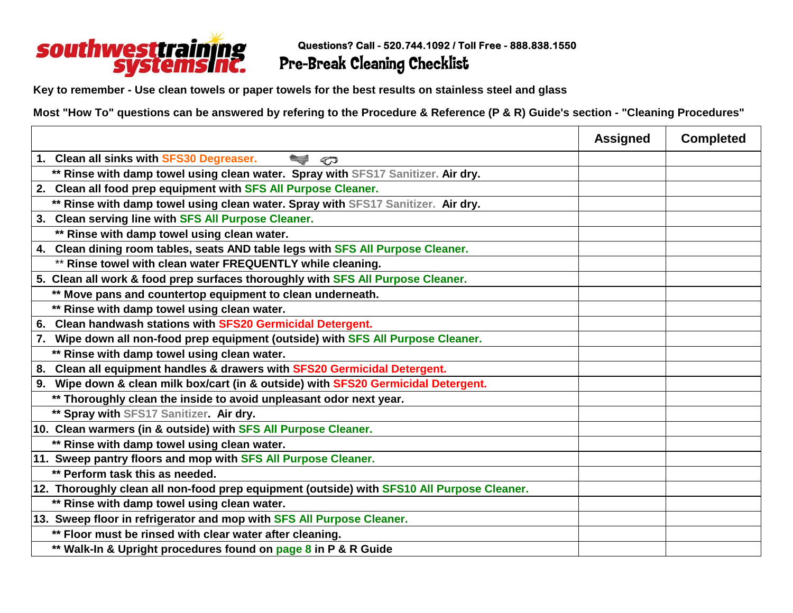

**Key to remember - Use clean towels or paper towels for the best results on stainless steel and glass**

**Most "How To" questions can be answered by refering to the Procedure & Reference (P & R) Guide's section - "Cleaning Procedures"**

|                                                                                            | <b>Assigned</b> | <b>Completed</b> |
|--------------------------------------------------------------------------------------------|-----------------|------------------|
| 1. Clean all sinks with SFS30 Degreaser.<br><b>Contract Contract</b><br>$\varpi$           |                 |                  |
| ** Rinse with damp towel using clean water. Spray with SFS17 Sanitizer. Air dry.           |                 |                  |
| 2. Clean all food prep equipment with SFS All Purpose Cleaner.                             |                 |                  |
| ** Rinse with damp towel using clean water. Spray with SFS17 Sanitizer. Air dry.           |                 |                  |
| 3. Clean serving line with SFS All Purpose Cleaner.                                        |                 |                  |
| ** Rinse with damp towel using clean water.                                                |                 |                  |
| 4. Clean dining room tables, seats AND table legs with SFS All Purpose Cleaner.            |                 |                  |
| ** Rinse towel with clean water FREQUENTLY while cleaning.                                 |                 |                  |
| 5. Clean all work & food prep surfaces thoroughly with SFS All Purpose Cleaner.            |                 |                  |
| ** Move pans and countertop equipment to clean underneath.                                 |                 |                  |
| ** Rinse with damp towel using clean water.                                                |                 |                  |
| Clean handwash stations with SFS20 Germicidal Detergent.<br>6.                             |                 |                  |
| Wipe down all non-food prep equipment (outside) with SFS All Purpose Cleaner.<br>7.        |                 |                  |
| ** Rinse with damp towel using clean water.                                                |                 |                  |
| Clean all equipment handles & drawers with SFS20 Germicidal Detergent.<br>8.               |                 |                  |
| Wipe down & clean milk box/cart (in & outside) with SFS20 Germicidal Detergent.<br>9.      |                 |                  |
| ** Thoroughly clean the inside to avoid unpleasant odor next year.                         |                 |                  |
| ** Spray with SFS17 Sanitizer. Air dry.                                                    |                 |                  |
| 10. Clean warmers (in & outside) with SFS All Purpose Cleaner.                             |                 |                  |
| ** Rinse with damp towel using clean water.                                                |                 |                  |
| 11. Sweep pantry floors and mop with SFS All Purpose Cleaner.                              |                 |                  |
| ** Perform task this as needed.                                                            |                 |                  |
| 12. Thoroughly clean all non-food prep equipment (outside) with SFS10 All Purpose Cleaner. |                 |                  |
| ** Rinse with damp towel using clean water.                                                |                 |                  |
| 13. Sweep floor in refrigerator and mop with SFS All Purpose Cleaner.                      |                 |                  |
| ** Floor must be rinsed with clear water after cleaning.                                   |                 |                  |
| ** Walk-In & Upright procedures found on page 8 in P & R Guide                             |                 |                  |